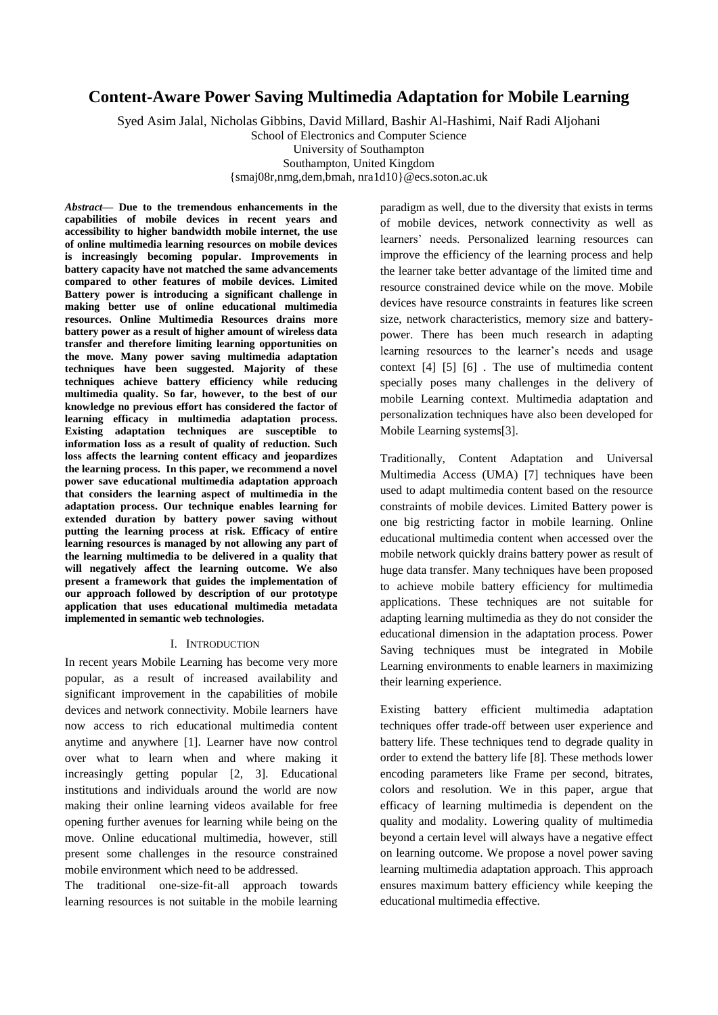# **Content-Aware Power Saving Multimedia Adaptation for Mobile Learning**

Syed Asim Jalal, Nicholas Gibbins, David Millard, Bashir Al-Hashimi, Naif Radi Aljohani

School of Electronics and Computer Science

University of Southampton Southampton, United Kingdom

{smaj08r,nmg,dem,bmah, nra1d10}@ecs.soton.ac.uk

*Abstract—* **Due to the tremendous enhancements in the capabilities of mobile devices in recent years and accessibility to higher bandwidth mobile internet, the use of online multimedia learning resources on mobile devices is increasingly becoming popular. Improvements in battery capacity have not matched the same advancements compared to other features of mobile devices. Limited Battery power is introducing a significant challenge in making better use of online educational multimedia resources. Online Multimedia Resources drains more battery power as a result of higher amount of wireless data transfer and therefore limiting learning opportunities on the move. Many power saving multimedia adaptation techniques have been suggested. Majority of these techniques achieve battery efficiency while reducing multimedia quality. So far, however, to the best of our knowledge no previous effort has considered the factor of learning efficacy in multimedia adaptation process. Existing adaptation techniques are susceptible to information loss as a result of quality of reduction. Such loss affects the learning content efficacy and jeopardizes the learning process. In this paper, we recommend a novel power save educational multimedia adaptation approach that considers the learning aspect of multimedia in the adaptation process. Our technique enables learning for extended duration by battery power saving without putting the learning process at risk. Efficacy of entire learning resources is managed by not allowing any part of the learning multimedia to be delivered in a quality that will negatively affect the learning outcome. We also present a framework that guides the implementation of our approach followed by description of our prototype application that uses educational multimedia metadata implemented in semantic web technologies.**

### I. INTRODUCTION

In recent years Mobile Learning has become very more popular, as a result of increased availability and significant improvement in the capabilities of mobile devices and network connectivity. Mobile learners have now access to rich educational multimedia content anytime and anywhere [\[1\]](#page-5-0). Learner have now control over what to learn when and where making it increasingly getting popular [\[2,](#page-5-1) [3\]](#page-5-2). Educational institutions and individuals around the world are now making their online learning videos available for free opening further avenues for learning while being on the move. Online educational multimedia, however, still present some challenges in the resource constrained mobile environment which need to be addressed.

The traditional one-size-fit-all approach towards learning resources is not suitable in the mobile learning paradigm as well, due to the diversity that exists in terms of mobile devices, network connectivity as well as learners' needs. Personalized learning resources can improve the efficiency of the learning process and help the learner take better advantage of the limited time and resource constrained device while on the move. Mobile devices have resource constraints in features like screen size, network characteristics, memory size and batterypower. There has been much research in adapting learning resources to the learner's needs and usage context [\[4\]](#page-5-3) [\[5\]](#page-5-4) [\[6\]](#page-5-5) . The use of multimedia content specially poses many challenges in the delivery of mobile Learning context. Multimedia adaptation and personalization techniques have also been developed for Mobile Learning systems[\[3\]](#page-5-2).

Traditionally, Content Adaptation and Universal Multimedia Access (UMA) [\[7\]](#page-5-6) techniques have been used to adapt multimedia content based on the resource constraints of mobile devices. Limited Battery power is one big restricting factor in mobile learning. Online educational multimedia content when accessed over the mobile network quickly drains battery power as result of huge data transfer. Many techniques have been proposed to achieve mobile battery efficiency for multimedia applications. These techniques are not suitable for adapting learning multimedia as they do not consider the educational dimension in the adaptation process. Power Saving techniques must be integrated in Mobile Learning environments to enable learners in maximizing their learning experience.

Existing battery efficient multimedia adaptation techniques offer trade-off between user experience and battery life. These techniques tend to degrade quality in order to extend the battery life [\[8\]](#page-5-7). These methods lower encoding parameters like Frame per second, bitrates, colors and resolution. We in this paper, argue that efficacy of learning multimedia is dependent on the quality and modality. Lowering quality of multimedia beyond a certain level will always have a negative effect on learning outcome. We propose a novel power saving learning multimedia adaptation approach. This approach ensures maximum battery efficiency while keeping the educational multimedia effective.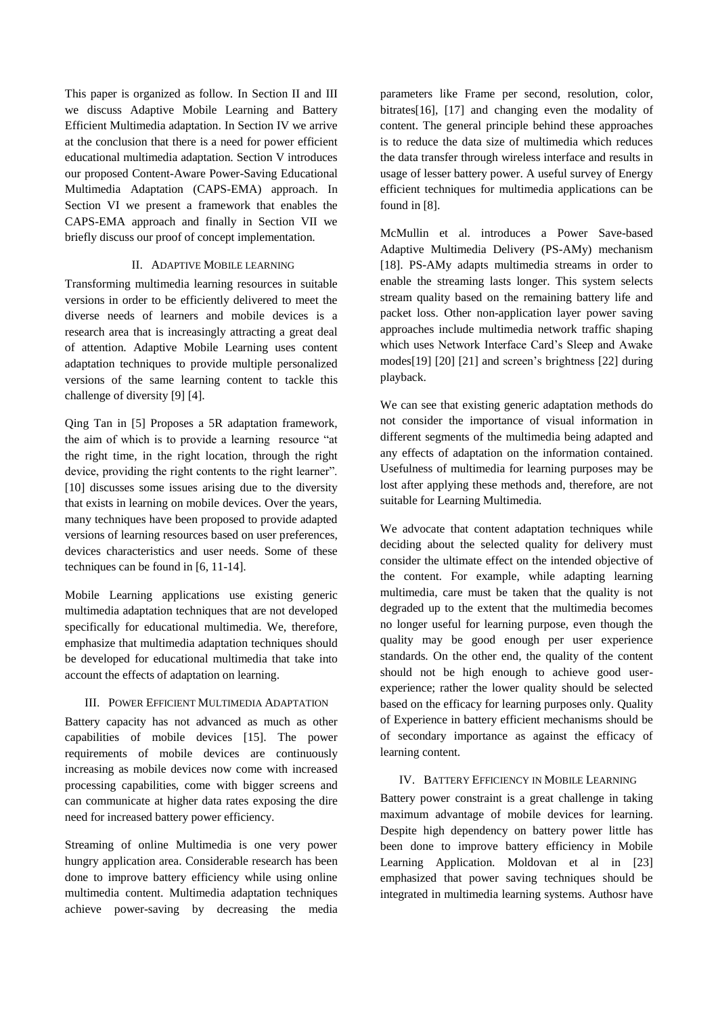This paper is organized as follow. In Section II and III we discuss Adaptive Mobile Learning and Battery Efficient Multimedia adaptation. In Section IV we arrive at the conclusion that there is a need for power efficient educational multimedia adaptation. Section V introduces our proposed Content-Aware Power-Saving Educational Multimedia Adaptation (CAPS-EMA) approach. In Section VI we present a framework that enables the CAPS-EMA approach and finally in Section VII we briefly discuss our proof of concept implementation.

# II. ADAPTIVE MOBILE LEARNING

Transforming multimedia learning resources in suitable versions in order to be efficiently delivered to meet the diverse needs of learners and mobile devices is a research area that is increasingly attracting a great deal of attention. Adaptive Mobile Learning uses content adaptation techniques to provide multiple personalized versions of the same learning content to tackle this challenge of diversity [\[9\]](#page-5-8) [\[4\]](#page-5-3).

Qing Tan in [\[5\]](#page-5-4) Proposes a 5R adaptation framework, the aim of which is to provide a learning resource "at the right time, in the right location, through the right device, providing the right contents to the right learner". [\[10\]](#page-5-9) discusses some issues arising due to the diversity that exists in learning on mobile devices. Over the years, many techniques have been proposed to provide adapted versions of learning resources based on user preferences, devices characteristics and user needs. Some of these techniques can be found in [\[6,](#page-5-5) [11-14\]](#page-5-10).

Mobile Learning applications use existing generic multimedia adaptation techniques that are not developed specifically for educational multimedia. We, therefore, emphasize that multimedia adaptation techniques should be developed for educational multimedia that take into account the effects of adaptation on learning.

# III. POWER EFFICIENT MULTIMEDIA ADAPTATION

Battery capacity has not advanced as much as other capabilities of mobile devices [\[15\]](#page-5-11). The power requirements of mobile devices are continuously increasing as mobile devices now come with increased processing capabilities, come with bigger screens and can communicate at higher data rates exposing the dire need for increased battery power efficiency.

Streaming of online Multimedia is one very power hungry application area. Considerable research has been done to improve battery efficiency while using online multimedia content. Multimedia adaptation techniques achieve power-saving by decreasing the media

parameters like Frame per second, resolution, color, bitrates[\[16\]](#page-5-12), [\[17\]](#page-5-13) and changing even the modality of content. The general principle behind these approaches is to reduce the data size of multimedia which reduces the data transfer through wireless interface and results in usage of lesser battery power. A useful survey of Energy efficient techniques for multimedia applications can be found in [\[8\]](#page-5-7).

McMullin et al. introduces a Power Save-based Adaptive Multimedia Delivery (PS-AMy) mechanism [\[18\]](#page-5-14). PS-AMy adapts multimedia streams in order to enable the streaming lasts longer. This system selects stream quality based on the remaining battery life and packet loss. Other non-application layer power saving approaches include multimedia network traffic shaping which uses Network Interface Card's Sleep and Awake modes[\[19\]](#page-5-15) [\[20\]](#page-5-16) [\[21\]](#page-5-17) and screen's brightness [\[22\]](#page-5-18) during playback.

We can see that existing generic adaptation methods do not consider the importance of visual information in different segments of the multimedia being adapted and any effects of adaptation on the information contained. Usefulness of multimedia for learning purposes may be lost after applying these methods and, therefore, are not suitable for Learning Multimedia.

We advocate that content adaptation techniques while deciding about the selected quality for delivery must consider the ultimate effect on the intended objective of the content. For example, while adapting learning multimedia, care must be taken that the quality is not degraded up to the extent that the multimedia becomes no longer useful for learning purpose, even though the quality may be good enough per user experience standards. On the other end, the quality of the content should not be high enough to achieve good userexperience; rather the lower quality should be selected based on the efficacy for learning purposes only. Quality of Experience in battery efficient mechanisms should be of secondary importance as against the efficacy of learning content.

# IV. BATTERY EFFICIENCY IN MOBILE LEARNING

Battery power constraint is a great challenge in taking maximum advantage of mobile devices for learning. Despite high dependency on battery power little has been done to improve battery efficiency in Mobile Learning Application. Moldovan et al in [\[23\]](#page-5-19) emphasized that power saving techniques should be integrated in multimedia learning systems. Authosr have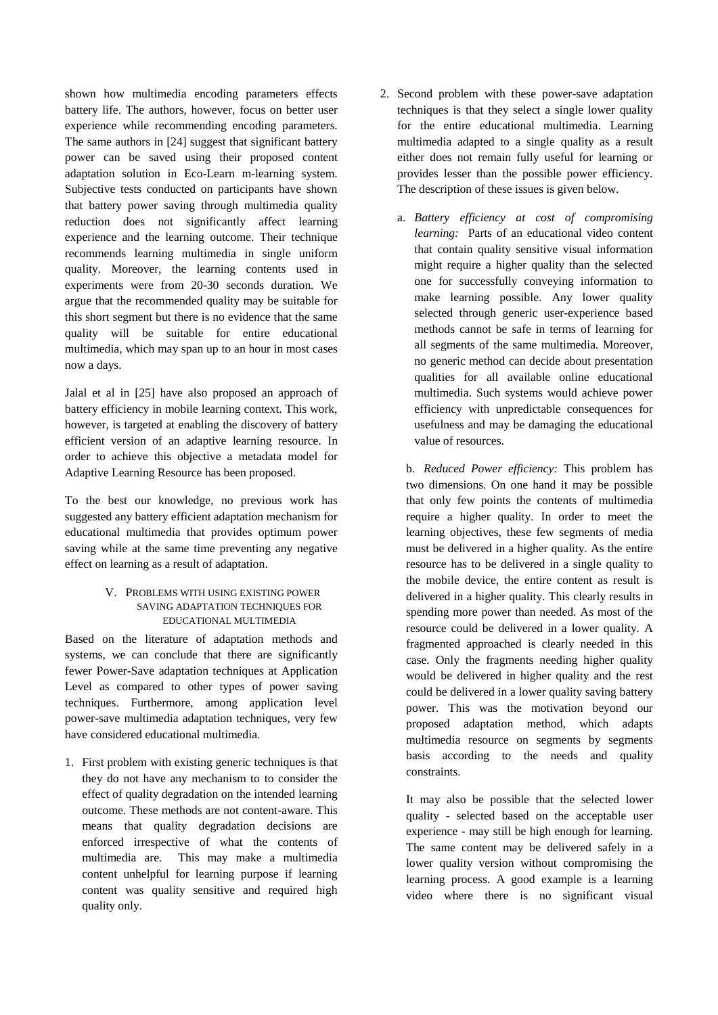shown how multimedia encoding parameters effects battery life. The authors, however, focus on better user experience while recommending encoding parameters. The same authors in [\[24\]](#page-5-20) suggest that significant battery power can be saved using their proposed content adaptation solution in Eco-Learn m-learning system. Subjective tests conducted on participants have shown that battery power saving through multimedia quality reduction does not significantly affect learning experience and the learning outcome. Their technique recommends learning multimedia in single uniform quality. Moreover, the learning contents used in experiments were from 20-30 seconds duration. We argue that the recommended quality may be suitable for this short segment but there is no evidence that the same quality will be suitable for entire educational multimedia, which may span up to an hour in most cases now a days.

Jalal et al in [\[25\]](#page-5-21) have also proposed an approach of battery efficiency in mobile learning context. This work, however, is targeted at enabling the discovery of battery efficient version of an adaptive learning resource. In order to achieve this objective a metadata model for Adaptive Learning Resource has been proposed.

To the best our knowledge, no previous work has suggested any battery efficient adaptation mechanism for educational multimedia that provides optimum power saving while at the same time preventing any negative effect on learning as a result of adaptation.

## V. PROBLEMS WITH USING EXISTING POWER SAVING ADAPTATION TECHNIQUES FOR EDUCATIONAL MULTIMEDIA

Based on the literature of adaptation methods and systems, we can conclude that there are significantly fewer Power-Save adaptation techniques at Application Level as compared to other types of power saving techniques. Furthermore, among application level power-save multimedia adaptation techniques, very few have considered educational multimedia.

1. First problem with existing generic techniques is that they do not have any mechanism to to consider the effect of quality degradation on the intended learning outcome. These methods are not content-aware. This means that quality degradation decisions are enforced irrespective of what the contents of multimedia are. This may make a multimedia content unhelpful for learning purpose if learning content was quality sensitive and required high quality only.

- 2. Second problem with these power-save adaptation techniques is that they select a single lower quality for the entire educational multimedia. Learning multimedia adapted to a single quality as a result either does not remain fully useful for learning or provides lesser than the possible power efficiency. The description of these issues is given below.
	- a. *Battery efficiency at cost of compromising learning:* Parts of an educational video content that contain quality sensitive visual information might require a higher quality than the selected one for successfully conveying information to make learning possible. Any lower quality selected through generic user-experience based methods cannot be safe in terms of learning for all segments of the same multimedia. Moreover, no generic method can decide about presentation qualities for all available online educational multimedia. Such systems would achieve power efficiency with unpredictable consequences for usefulness and may be damaging the educational value of resources.

b. *Reduced Power efficiency:* This problem has two dimensions. On one hand it may be possible that only few points the contents of multimedia require a higher quality. In order to meet the learning objectives, these few segments of media must be delivered in a higher quality. As the entire resource has to be delivered in a single quality to the mobile device, the entire content as result is delivered in a higher quality. This clearly results in spending more power than needed. As most of the resource could be delivered in a lower quality. A fragmented approached is clearly needed in this case. Only the fragments needing higher quality would be delivered in higher quality and the rest could be delivered in a lower quality saving battery power. This was the motivation beyond our proposed adaptation method, which adapts multimedia resource on segments by segments basis according to the needs and quality constraints.

It may also be possible that the selected lower quality - selected based on the acceptable user experience - may still be high enough for learning. The same content may be delivered safely in a lower quality version without compromising the learning process. A good example is a learning video where there is no significant visual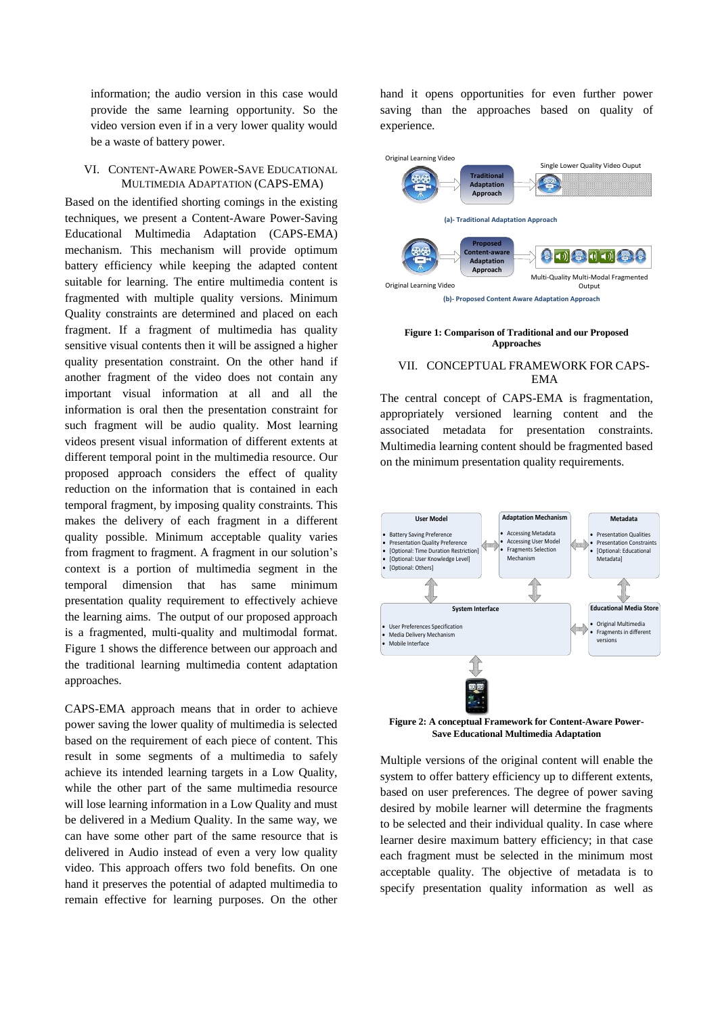information; the audio version in this case would provide the same learning opportunity. So the video version even if in a very lower quality would be a waste of battery power.

## VI. CONTENT-AWARE POWER-SAVE EDUCATIONAL MULTIMEDIA ADAPTATION (CAPS-EMA)

Based on the identified shorting comings in the existing techniques, we present a Content-Aware Power-Saving Educational Multimedia Adaptation (CAPS-EMA) mechanism. This mechanism will provide optimum battery efficiency while keeping the adapted content suitable for learning. The entire multimedia content is fragmented with multiple quality versions. Minimum Quality constraints are determined and placed on each fragment. If a fragment of multimedia has quality sensitive visual contents then it will be assigned a higher quality presentation constraint. On the other hand if another fragment of the video does not contain any important visual information at all and all the information is oral then the presentation constraint for such fragment will be audio quality. Most learning videos present visual information of different extents at different temporal point in the multimedia resource. Our proposed approach considers the effect of quality reduction on the information that is contained in each temporal fragment, by imposing quality constraints. This makes the delivery of each fragment in a different quality possible. Minimum acceptable quality varies from fragment to fragment. A fragment in our solution's context is a portion of multimedia segment in the temporal dimension that has same minimum presentation quality requirement to effectively achieve the learning aims. The output of our proposed approach is a fragmented, multi-quality and multimodal format. Figure 1 shows the difference between our approach and the traditional learning multimedia content adaptation approaches.

CAPS-EMA approach means that in order to achieve power saving the lower quality of multimedia is selected based on the requirement of each piece of content. This result in some segments of a multimedia to safely achieve its intended learning targets in a Low Quality, while the other part of the same multimedia resource will lose learning information in a Low Quality and must be delivered in a Medium Quality. In the same way, we can have some other part of the same resource that is delivered in Audio instead of even a very low quality video. This approach offers two fold benefits. On one hand it preserves the potential of adapted multimedia to remain effective for learning purposes. On the other hand it opens opportunities for even further power saving than the approaches based on quality of experience.



#### **Figure 1: Comparison of Traditional and our Proposed Approaches**

## VII. CONCEPTUAL FRAMEWORK FOR CAPS-EMA

The central concept of CAPS-EMA is fragmentation, appropriately versioned learning content and the associated metadata for presentation constraints. Multimedia learning content should be fragmented based on the minimum presentation quality requirements.



**Figure 2: A conceptual Framework for Content-Aware Power-Save Educational Multimedia Adaptation**

Multiple versions of the original content will enable the system to offer battery efficiency up to different extents, based on user preferences. The degree of power saving desired by mobile learner will determine the fragments to be selected and their individual quality. In case where learner desire maximum battery efficiency; in that case each fragment must be selected in the minimum most acceptable quality. The objective of metadata is to specify presentation quality information as well as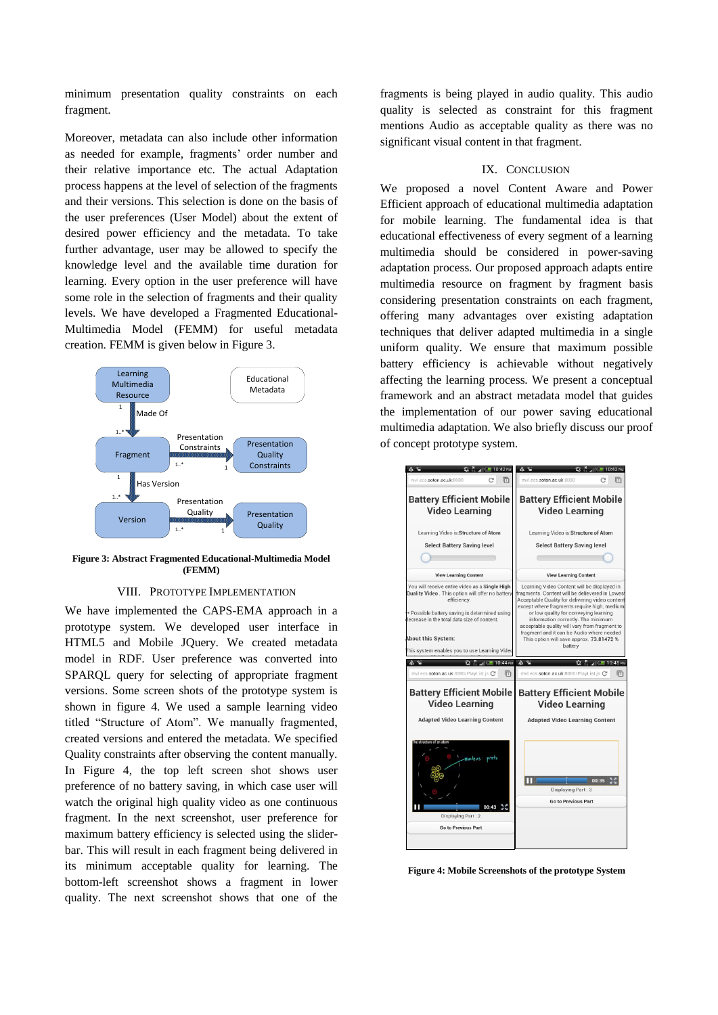minimum presentation quality constraints on each fragment.

Moreover, metadata can also include other information as needed for example, fragments' order number and their relative importance etc. The actual Adaptation process happens at the level of selection of the fragments and their versions. This selection is done on the basis of the user preferences (User Model) about the extent of desired power efficiency and the metadata. To take further advantage, user may be allowed to specify the knowledge level and the available time duration for learning. Every option in the user preference will have some role in the selection of fragments and their quality levels. We have developed a Fragmented Educational-Multimedia Model (FEMM) for useful metadata creation. FEMM is given below in Figure 3.



**Figure 3: Abstract Fragmented Educational-Multimedia Model (FEMM)**

#### VIII. PROTOTYPE IMPLEMENTATION

We have implemented the CAPS-EMA approach in a prototype system. We developed user interface in HTML5 and Mobile JQuery. We created metadata model in RDF. User preference was converted into SPARQL query for selecting of appropriate fragment versions. Some screen shots of the prototype system is shown in figure 4. We used a sample learning video titled "Structure of Atom". We manually fragmented, created versions and entered the metadata. We specified Quality constraints after observing the content manually. In Figure 4, the top left screen shot shows user preference of no battery saving, in which case user will watch the original high quality video as one continuous fragment. In the next screenshot, user preference for maximum battery efficiency is selected using the sliderbar. This will result in each fragment being delivered in its minimum acceptable quality for learning. The bottom-left screenshot shows a fragment in lower quality. The next screenshot shows that one of the

fragments is being played in audio quality. This audio quality is selected as constraint for this fragment mentions Audio as acceptable quality as there was no significant visual content in that fragment.

#### IX. CONCLUSION

We proposed a novel Content Aware and Power Efficient approach of educational multimedia adaptation for mobile learning. The fundamental idea is that educational effectiveness of every segment of a learning multimedia should be considered in power-saving adaptation process. Our proposed approach adapts entire multimedia resource on fragment by fragment basis considering presentation constraints on each fragment, offering many advantages over existing adaptation techniques that deliver adapted multimedia in a single uniform quality. We ensure that maximum possible battery efficiency is achievable without negatively affecting the learning process. We present a conceptual framework and an abstract metadata model that guides the implementation of our power saving educational multimedia adaptation. We also briefly discuss our proof of concept prototype system.



**Figure 4: Mobile Screenshots of the prototype System**